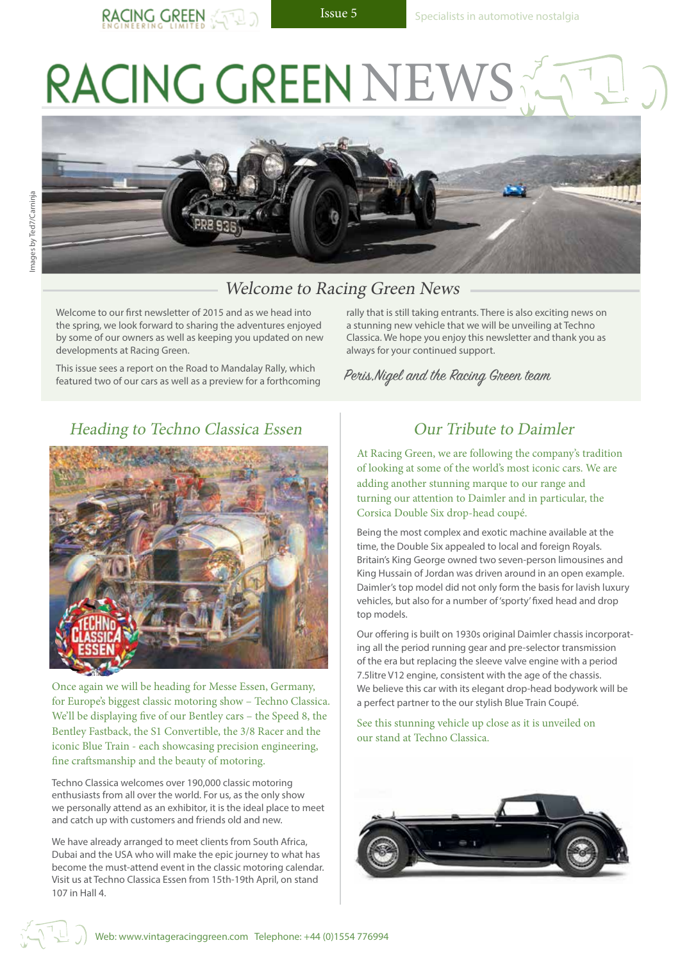# RACING GREEN NEW





#### Welcome to Racing Green News

Welcome to our first newsletter of 2015 and as we head into the spring, we look forward to sharing the adventures enjoyed by some of our owners as well as keeping you updated on new developments at Racing Green.

This issue sees a report on the Road to Mandalay Rally, which featured two of our cars as well as a preview for a forthcoming

Heading to Techno Classica Essen Dur Tribute to Daimler



**11116**, **150th April,** *150***<b>th** April, *2011* (**11611616)** (**116 c**) 8 *c***model** (**116 c**) (**1** iconic Blue Train - each showcasing precision engineering, Once again we will be heading for Messe Essen, Germany, for Europe's biggest classic motoring show – Techno Classica. We'll be displaying five of our Bentley cars – the Speed 8, the Bentley Fastback, the S1 Convertible, the 3/8 Racer and the fine craftsmanship and the beauty of motoring.

Techno Classica welcomes over 190,000 classic motoring enthusiasts from all over the world. For us, as the only show we personally attend as an exhibitor, it is the ideal place to meet and catch up with customers and friends old and new.

We have already arranged to meet clients from South Africa, Dubai and the USA who will make the epic journey to what has become the must-attend event in the classic motoring calendar. Visit us at Techno Classica Essen from 15th-19th April, on stand 107 in Hall 4.

rally that is still taking entrants. There is also exciting news on a stunning new vehicle that we will be unveiling at Techno Classica. We hope you enjoy this newsletter and thank you as always for your continued support.

Peris,Nigel and the Racing Green team

At Racing Green, we are following the company's tradition of looking at some of the world's most iconic cars. We are adding another stunning marque to our range and turning our attention to Daimler and in particular, the Corsica Double Six drop-head coupé.

**Artist: Alfredo De la María, www.cckunst.de** Being the most complex and exotic machine available at the time, the Double Six appealed to local and foreign Royals. Britain's King George owned two seven-person limousines and King Hussain of Jordan was driven around in an open example. Daimler's top model did not only form the basis for lavish luxury vehicles, but also for a number of 'sporty' fixed head and drop top models.

Our offering is built on 1930s original Daimler chassis incorporating all the period running gear and pre-selector transmission of the era but replacing the sleeve valve engine with a period 7.5litre V12 engine, consistent with the age of the chassis. We believe this car with its elegant drop-head bodywork will be a perfect partner to the our stylish Blue Train Coupé.

See this stunning vehicle up close as it is unveiled on our stand at Techno Classica.



Web: www.vintageracinggreen.com Telephone: +44 (0)1554 776994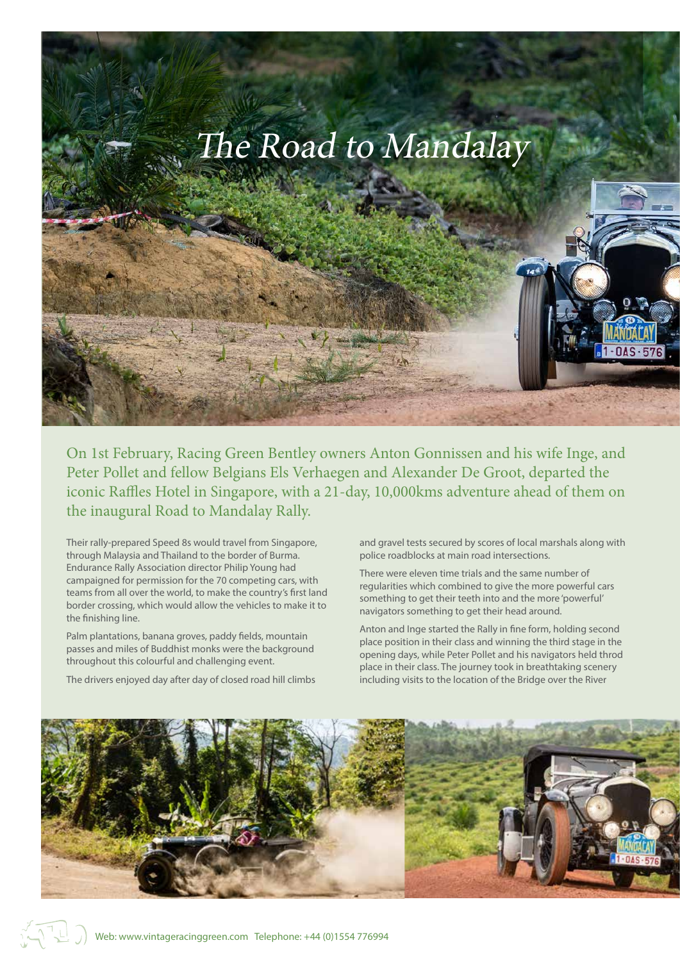

On 1st February, Racing Green Bentley owners Anton Gonnissen and his wife Inge, and Peter Pollet and fellow Belgians Els Verhaegen and Alexander De Groot, departed the iconic Raffles Hotel in Singapore, with a 21-day, 10,000kms adventure ahead of them on the inaugural Road to Mandalay Rally.

Their rally-prepared Speed 8s would travel from Singapore, through Malaysia and Thailand to the border of Burma. Endurance Rally Association director Philip Young had campaigned for permission for the 70 competing cars, with teams from all over the world, to make the country's first land border crossing, which would allow the vehicles to make it to the finishing line.

Palm plantations, banana groves, paddy fields, mountain passes and miles of Buddhist monks were the background throughout this colourful and challenging event.

The drivers enjoyed day after day of closed road hill climbs

and gravel tests secured by scores of local marshals along with police roadblocks at main road intersections.

There were eleven time trials and the same number of regularities which combined to give the more powerful cars something to get their teeth into and the more 'powerful' navigators something to get their head around.

Anton and Inge started the Rally in fine form, holding second place position in their class and winning the third stage in the opening days, while Peter Pollet and his navigators held throd place in their class. The journey took in breathtaking scenery including visits to the location of the Bridge over the River

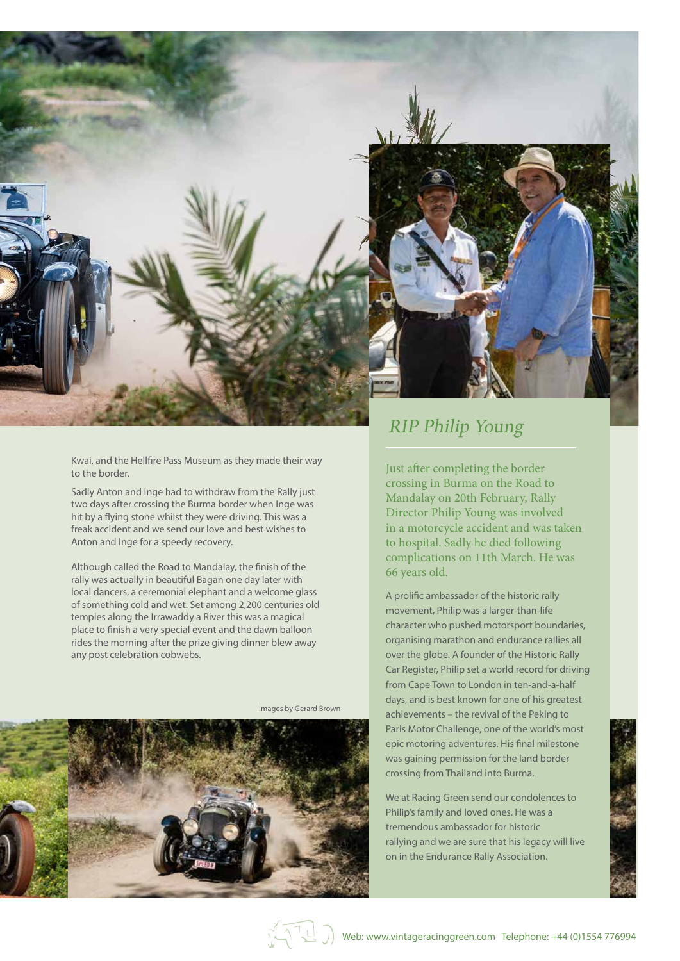

Kwai, and the Hellfire Pass Museum as they made their way to the border.

Sadly Anton and Inge had to withdraw from the Rally just two days after crossing the Burma border when Inge was hit by a flying stone whilst they were driving. This was a freak accident and we send our love and best wishes to Anton and Inge for a speedy recovery.

Although called the Road to Mandalay, the finish of the rally was actually in beautiful Bagan one day later with local dancers, a ceremonial elephant and a welcome glass of something cold and wet. Set among 2,200 centuries old temples along the Irrawaddy a River this was a magical place to finish a very special event and the dawn balloon rides the morning after the prize giving dinner blew away any post celebration cobwebs.



Images by Gerard Brown



## RIP Philip Young

Just after completing the border crossing in Burma on the Road to Mandalay on 20th February, Rally Director Philip Young was involved in a motorcycle accident and was taken to hospital. Sadly he died following complications on 11th March. He was 66 years old.

A prolific ambassador of the historic rally movement, Philip was a larger-than-life character who pushed motorsport boundaries, organising marathon and endurance rallies all over the globe. A founder of the Historic Rally Car Register, Philip set a world record for driving from Cape Town to London in ten-and-a-half days, and is best known for one of his greatest achievements – the revival of the Peking to Paris Motor Challenge, one of the world's most epic motoring adventures. His final milestone was gaining permission for the land border crossing from Thailand into Burma.

We at Racing Green send our condolences to Philip's family and loved ones. He was a tremendous ambassador for historic rallying and we are sure that his legacy will live on in the Endurance Rally Association.